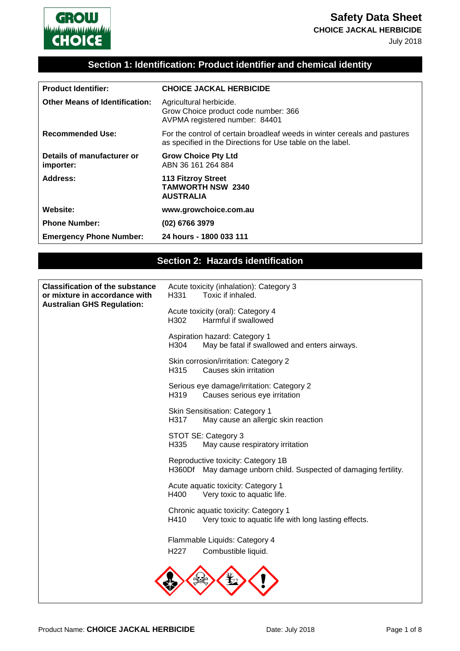**Safety Data Sheet**

**CHOICE JACKAL HERBICIDE**

July 2018



| <b>Product Identifier:</b>              | <b>CHOICE JACKAL HERBICIDE</b>                                                                                                          |
|-----------------------------------------|-----------------------------------------------------------------------------------------------------------------------------------------|
| <b>Other Means of Identification:</b>   | Agricultural herbicide.<br>Grow Choice product code number: 366<br>AVPMA registered number: 84401                                       |
| <b>Recommended Use:</b>                 | For the control of certain broadleaf weeds in winter cereals and pastures<br>as specified in the Directions for Use table on the label. |
| Details of manufacturer or<br>importer: | <b>Grow Choice Pty Ltd</b><br>ABN 36 161 264 884                                                                                        |
| <b>Address:</b>                         | <b>113 Fitzroy Street</b><br><b>TAMWORTH NSW 2340</b><br><b>AUSTRALIA</b>                                                               |
| Website:                                | www.growchoice.com.au                                                                                                                   |
| <b>Phone Number:</b>                    | (02) 6766 3979                                                                                                                          |
| <b>Emergency Phone Number:</b>          | 24 hours - 1800 033 111                                                                                                                 |

#### **Section 2: Hazards identification**

| <b>Classification of the substance</b><br>or mixture in accordance with<br><b>Australian GHS Regulation:</b> | Acute toxicity (inhalation): Category 3<br>Toxic if inhaled.<br>H <sub>331</sub>                          |
|--------------------------------------------------------------------------------------------------------------|-----------------------------------------------------------------------------------------------------------|
|                                                                                                              | Acute toxicity (oral): Category 4<br>Harmful if swallowed<br>H <sub>302</sub>                             |
|                                                                                                              | Aspiration hazard: Category 1<br>H <sub>304</sub><br>May be fatal if swallowed and enters airways.        |
|                                                                                                              | Skin corrosion/irritation: Category 2<br>Causes skin irritation<br>H <sub>315</sub>                       |
|                                                                                                              | Serious eye damage/irritation: Category 2<br>H319<br>Causes serious eye irritation                        |
|                                                                                                              | Skin Sensitisation: Category 1<br>H317<br>May cause an allergic skin reaction                             |
|                                                                                                              | STOT SE: Category 3<br>H335<br>May cause respiratory irritation                                           |
|                                                                                                              | Reproductive toxicity: Category 1B<br>H360Df<br>May damage unborn child. Suspected of damaging fertility. |
|                                                                                                              | Acute aquatic toxicity: Category 1<br>H400<br>Very toxic to aquatic life.                                 |
|                                                                                                              | Chronic aquatic toxicity: Category 1<br>H410<br>Very toxic to aquatic life with long lasting effects.     |
|                                                                                                              | Flammable Liquids: Category 4                                                                             |
|                                                                                                              | H <sub>22</sub> 7<br>Combustible liquid.                                                                  |
|                                                                                                              |                                                                                                           |
|                                                                                                              |                                                                                                           |

GROW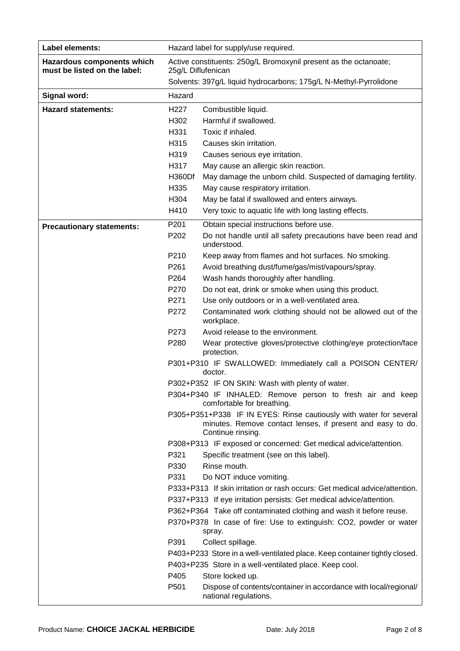| Label elements:                                            | Hazard label for supply/use required.                                                  |                                                                                                                                                       |  |
|------------------------------------------------------------|----------------------------------------------------------------------------------------|-------------------------------------------------------------------------------------------------------------------------------------------------------|--|
| Hazardous components which<br>must be listed on the label: | Active constituents: 250g/L Bromoxynil present as the octanoate;<br>25g/L Diflufenican |                                                                                                                                                       |  |
|                                                            |                                                                                        | Solvents: 397g/L liquid hydrocarbons; 175g/L N-Methyl-Pyrrolidone                                                                                     |  |
| Signal word:                                               | Hazard                                                                                 |                                                                                                                                                       |  |
| <b>Hazard statements:</b>                                  | H <sub>227</sub>                                                                       | Combustible liquid.                                                                                                                                   |  |
|                                                            | H302                                                                                   | Harmful if swallowed.                                                                                                                                 |  |
|                                                            | H331                                                                                   | Toxic if inhaled.                                                                                                                                     |  |
|                                                            | H315                                                                                   | Causes skin irritation.                                                                                                                               |  |
|                                                            | H319                                                                                   | Causes serious eye irritation.                                                                                                                        |  |
|                                                            | H317                                                                                   | May cause an allergic skin reaction.                                                                                                                  |  |
|                                                            | H360Df                                                                                 | May damage the unborn child. Suspected of damaging fertility.                                                                                         |  |
|                                                            | H335                                                                                   | May cause respiratory irritation.                                                                                                                     |  |
|                                                            | H304                                                                                   | May be fatal if swallowed and enters airways.                                                                                                         |  |
|                                                            | H410                                                                                   | Very toxic to aquatic life with long lasting effects.                                                                                                 |  |
| <b>Precautionary statements:</b>                           | P201                                                                                   | Obtain special instructions before use.                                                                                                               |  |
|                                                            | P202                                                                                   | Do not handle until all safety precautions have been read and<br>understood.                                                                          |  |
|                                                            | P210                                                                                   | Keep away from flames and hot surfaces. No smoking.                                                                                                   |  |
|                                                            | P261                                                                                   | Avoid breathing dust/fume/gas/mist/vapours/spray.                                                                                                     |  |
|                                                            | P264                                                                                   | Wash hands thoroughly after handling.                                                                                                                 |  |
|                                                            | P270                                                                                   | Do not eat, drink or smoke when using this product.                                                                                                   |  |
|                                                            | P271                                                                                   | Use only outdoors or in a well-ventilated area.                                                                                                       |  |
|                                                            | P272                                                                                   | Contaminated work clothing should not be allowed out of the<br>workplace.                                                                             |  |
|                                                            | P273                                                                                   | Avoid release to the environment.                                                                                                                     |  |
|                                                            | P280                                                                                   | Wear protective gloves/protective clothing/eye protection/face                                                                                        |  |
|                                                            |                                                                                        | protection.                                                                                                                                           |  |
|                                                            |                                                                                        | P301+P310 IF SWALLOWED: Immediately call a POISON CENTER/<br>doctor.                                                                                  |  |
|                                                            |                                                                                        | P302+P352 IF ON SKIN: Wash with plenty of water.                                                                                                      |  |
|                                                            |                                                                                        | P304+P340 IF INHALED: Remove person to fresh air and keep<br>comfortable for breathing.                                                               |  |
|                                                            |                                                                                        | P305+P351+P338 IF IN EYES: Rinse cautiously with water for several<br>minutes. Remove contact lenses, if present and easy to do.<br>Continue rinsing. |  |
|                                                            |                                                                                        | P308+P313 IF exposed or concerned: Get medical advice/attention.                                                                                      |  |
|                                                            | P321                                                                                   | Specific treatment (see on this label).                                                                                                               |  |
|                                                            | P330                                                                                   | Rinse mouth.                                                                                                                                          |  |
|                                                            | P331                                                                                   | Do NOT induce vomiting.                                                                                                                               |  |
|                                                            |                                                                                        | P333+P313 If skin irritation or rash occurs: Get medical advice/attention.                                                                            |  |
|                                                            |                                                                                        | P337+P313 If eye irritation persists: Get medical advice/attention.                                                                                   |  |
|                                                            |                                                                                        | P362+P364 Take off contaminated clothing and wash it before reuse.                                                                                    |  |
|                                                            |                                                                                        | P370+P378 In case of fire: Use to extinguish: CO2, powder or water                                                                                    |  |
|                                                            |                                                                                        | spray.                                                                                                                                                |  |
|                                                            | P391                                                                                   | Collect spillage.                                                                                                                                     |  |
|                                                            |                                                                                        | P403+P233 Store in a well-ventilated place. Keep container tightly closed.                                                                            |  |
|                                                            |                                                                                        | P403+P235 Store in a well-ventilated place. Keep cool.                                                                                                |  |
|                                                            | P405                                                                                   | Store locked up.                                                                                                                                      |  |
|                                                            | P501                                                                                   | Dispose of contents/container in accordance with local/regional/<br>national regulations.                                                             |  |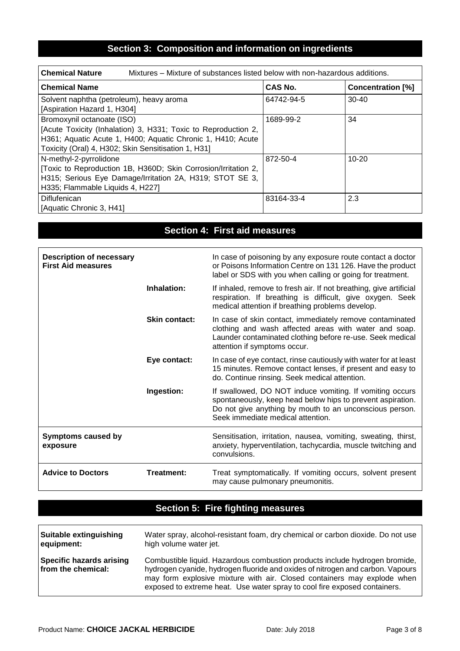# **Section 3: Composition and information on ingredients**

| <b>Chemical Nature</b><br>Mixtures – Mixture of substances listed below with non-hazardous additions. |                |                          |
|-------------------------------------------------------------------------------------------------------|----------------|--------------------------|
| <b>Chemical Name</b>                                                                                  | <b>CAS No.</b> | <b>Concentration [%]</b> |
| Solvent naphtha (petroleum), heavy aroma                                                              | 64742-94-5     | $30 - 40$                |
| [Aspiration Hazard 1, H304]                                                                           |                |                          |
| Bromoxynil octanoate (ISO)                                                                            | 1689-99-2      | 34                       |
| [Acute Toxicity (Inhalation) 3, H331; Toxic to Reproduction 2,                                        |                |                          |
| H361; Aquatic Acute 1, H400; Aquatic Chronic 1, H410; Acute                                           |                |                          |
| Toxicity (Oral) 4, H302; Skin Sensitisation 1, H31]                                                   |                |                          |
| N-methyl-2-pyrrolidone                                                                                | 872-50-4       | $10 - 20$                |
| [Toxic to Reproduction 1B, H360D; Skin Corrosion/Irritation 2,                                        |                |                          |
| H315; Serious Eye Damage/Irritation 2A, H319; STOT SE 3,                                              |                |                          |
| H335; Flammable Liquids 4, H227]                                                                      |                |                          |
| Diflufenican                                                                                          | 83164-33-4     | 2.3                      |
| [Aquatic Chronic 3, H41]                                                                              |                |                          |

# **Section 4: First aid measures**

| <b>Description of necessary</b><br><b>First Aid measures</b> |               | In case of poisoning by any exposure route contact a doctor<br>or Poisons Information Centre on 131 126. Have the product<br>label or SDS with you when calling or going for treatment.                                |
|--------------------------------------------------------------|---------------|------------------------------------------------------------------------------------------------------------------------------------------------------------------------------------------------------------------------|
|                                                              | Inhalation:   | If inhaled, remove to fresh air. If not breathing, give artificial<br>respiration. If breathing is difficult, give oxygen. Seek<br>medical attention if breathing problems develop.                                    |
|                                                              | Skin contact: | In case of skin contact, immediately remove contaminated<br>clothing and wash affected areas with water and soap.<br>Launder contaminated clothing before re-use. Seek medical<br>attention if symptoms occur.         |
|                                                              | Eye contact:  | In case of eye contact, rinse cautiously with water for at least<br>15 minutes. Remove contact lenses, if present and easy to<br>do. Continue rinsing. Seek medical attention.                                         |
|                                                              | Ingestion:    | If swallowed, DO NOT induce vomiting. If vomiting occurs<br>spontaneously, keep head below hips to prevent aspiration.<br>Do not give anything by mouth to an unconscious person.<br>Seek immediate medical attention. |
| <b>Symptoms caused by</b><br>exposure                        |               | Sensitisation, irritation, nausea, vomiting, sweating, thirst,<br>anxiety, hyperventilation, tachycardia, muscle twitching and<br>convulsions.                                                                         |
| <b>Advice to Doctors</b>                                     | Treatment:    | Treat symptomatically. If vomiting occurs, solvent present<br>may cause pulmonary pneumonitis.                                                                                                                         |

### **Section 5: Fire fighting measures**

| <b>Suitable extinguishing</b>                         | Water spray, alcohol-resistant foam, dry chemical or carbon dioxide. Do not use                                                                                                                                                                                                                                       |
|-------------------------------------------------------|-----------------------------------------------------------------------------------------------------------------------------------------------------------------------------------------------------------------------------------------------------------------------------------------------------------------------|
| equipment:                                            | high volume water jet.                                                                                                                                                                                                                                                                                                |
| <b>Specific hazards arising</b><br>from the chemical: | Combustible liquid. Hazardous combustion products include hydrogen bromide,<br>hydrogen cyanide, hydrogen fluoride and oxides of nitrogen and carbon. Vapours<br>may form explosive mixture with air. Closed containers may explode when<br>exposed to extreme heat. Use water spray to cool fire exposed containers. |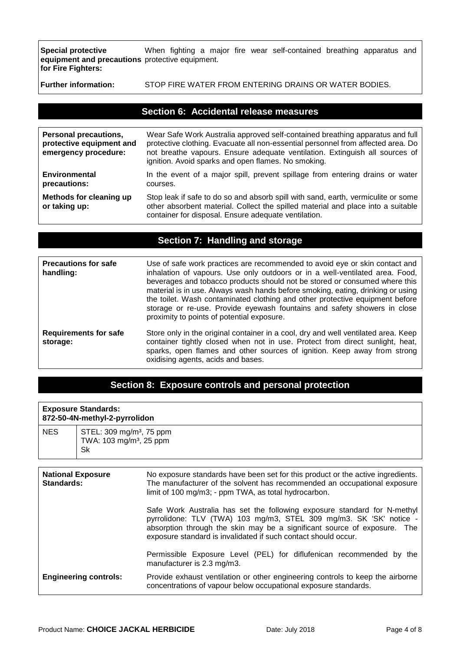**Special protective equipment and precautions**  protective equipment. **for Fire Fighters:**  When fighting a major fire wear self-contained breathing apparatus and

**Further information:** STOP FIRE WATER FROM ENTERING DRAINS OR WATER BODIES.

| Section 6: Accidental release measures                                           |                                                                                                                                                                                                                                                                                                         |  |
|----------------------------------------------------------------------------------|---------------------------------------------------------------------------------------------------------------------------------------------------------------------------------------------------------------------------------------------------------------------------------------------------------|--|
|                                                                                  |                                                                                                                                                                                                                                                                                                         |  |
| <b>Personal precautions,</b><br>protective equipment and<br>emergency procedure: | Wear Safe Work Australia approved self-contained breathing apparatus and full<br>protective clothing. Evacuate all non-essential personnel from affected area. Do<br>not breathe vapours. Ensure adequate ventilation. Extinguish all sources of<br>ignition. Avoid sparks and open flames. No smoking. |  |
| Environmental<br>precautions:                                                    | In the event of a major spill, prevent spillage from entering drains or water<br>courses.                                                                                                                                                                                                               |  |
| Methods for cleaning up<br>or taking up:                                         | Stop leak if safe to do so and absorb spill with sand, earth, vermiculite or some<br>other absorbent material. Collect the spilled material and place into a suitable<br>container for disposal. Ensure adequate ventilation.                                                                           |  |

#### **Section 7: Handling and storage**

| <b>Precautions for safe</b><br>handling: | Use of safe work practices are recommended to avoid eye or skin contact and<br>inhalation of vapours. Use only outdoors or in a well-ventilated area. Food,<br>beverages and tobacco products should not be stored or consumed where this<br>material is in use. Always wash hands before smoking, eating, drinking or using<br>the toilet. Wash contaminated clothing and other protective equipment before<br>storage or re-use. Provide eyewash fountains and safety showers in close<br>proximity to points of potential exposure. |
|------------------------------------------|----------------------------------------------------------------------------------------------------------------------------------------------------------------------------------------------------------------------------------------------------------------------------------------------------------------------------------------------------------------------------------------------------------------------------------------------------------------------------------------------------------------------------------------|
| <b>Requirements for safe</b><br>storage: | Store only in the original container in a cool, dry and well ventilated area. Keep<br>container tightly closed when not in use. Protect from direct sunlight, heat,<br>sparks, open flames and other sources of ignition. Keep away from strong<br>oxidising agents, acids and bases.                                                                                                                                                                                                                                                  |

### **Section 8: Exposure controls and personal protection**

|                                        | <b>Exposure Standards:</b><br>872-50-4N-methyl-2-pyrrolidon                       |                                                                                                                                                                                                                                                                                                                                                                                                                                                                                                                                                                                             |
|----------------------------------------|-----------------------------------------------------------------------------------|---------------------------------------------------------------------------------------------------------------------------------------------------------------------------------------------------------------------------------------------------------------------------------------------------------------------------------------------------------------------------------------------------------------------------------------------------------------------------------------------------------------------------------------------------------------------------------------------|
| NES.                                   | STEL: 309 mg/m <sup>3</sup> , 75 ppm<br>TWA: 103 mg/m <sup>3</sup> , 25 ppm<br>Sk |                                                                                                                                                                                                                                                                                                                                                                                                                                                                                                                                                                                             |
| <b>National Exposure</b><br>Standards: |                                                                                   | No exposure standards have been set for this product or the active ingredients.<br>The manufacturer of the solvent has recommended an occupational exposure<br>limit of 100 mg/m3; - ppm TWA, as total hydrocarbon.<br>Safe Work Australia has set the following exposure standard for N-methyl<br>pyrrolidone: TLV (TWA) 103 mg/m3, STEL 309 mg/m3. SK 'SK' notice -<br>absorption through the skin may be a significant source of exposure. The<br>exposure standard is invalidated if such contact should occur.<br>Permissible Exposure Level (PEL) for diflufenican recommended by the |
|                                        | <b>Engineering controls:</b>                                                      | manufacturer is 2.3 mg/m3.<br>Provide exhaust ventilation or other engineering controls to keep the airborne<br>concentrations of vapour below occupational exposure standards.                                                                                                                                                                                                                                                                                                                                                                                                             |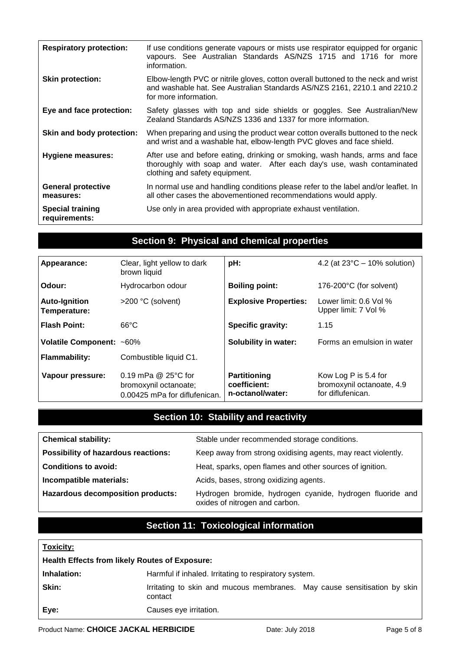| <b>Respiratory protection:</b>           | If use conditions generate vapours or mists use respirator equipped for organic<br>vapours. See Australian Standards AS/NZS 1715 and 1716 for more<br>information.                       |
|------------------------------------------|------------------------------------------------------------------------------------------------------------------------------------------------------------------------------------------|
| <b>Skin protection:</b>                  | Elbow-length PVC or nitrile gloves, cotton overall buttoned to the neck and wrist<br>and washable hat. See Australian Standards AS/NZS 2161, 2210.1 and 2210.2<br>for more information.  |
| Eye and face protection:                 | Safety glasses with top and side shields or goggles. See Australian/New<br>Zealand Standards AS/NZS 1336 and 1337 for more information.                                                  |
| Skin and body protection:                | When preparing and using the product wear cotton overalls buttoned to the neck<br>and wrist and a washable hat, elbow-length PVC gloves and face shield.                                 |
| Hygiene measures:                        | After use and before eating, drinking or smoking, wash hands, arms and face<br>thoroughly with soap and water. After each day's use, wash contaminated<br>clothing and safety equipment. |
| <b>General protective</b><br>measures:   | In normal use and handling conditions please refer to the label and/or leaflet. In<br>all other cases the abovementioned recommendations would apply.                                    |
| <b>Special training</b><br>requirements: | Use only in area provided with appropriate exhaust ventilation.                                                                                                                          |

### **Section 9: Physical and chemical properties**

| Appearance:                          | Clear, light yellow to dark<br>brown liquid                                   | pH:                                                     | 4.2 (at $23^{\circ}$ C – 10% solution)                                 |
|--------------------------------------|-------------------------------------------------------------------------------|---------------------------------------------------------|------------------------------------------------------------------------|
| Odour:                               | Hydrocarbon odour                                                             | <b>Boiling point:</b>                                   | 176-200°C (for solvent)                                                |
| <b>Auto-Ignition</b><br>Temperature: | >200 °C (solvent)                                                             | <b>Explosive Properties:</b>                            | Lower limit: 0.6 Vol %<br>Upper limit: 7 Vol %                         |
| Flash Point:                         | $66^{\circ}$ C                                                                | <b>Specific gravity:</b>                                | 1.15                                                                   |
| Volatile Component: ~60%             |                                                                               | <b>Solubility in water:</b>                             | Forms an emulsion in water                                             |
| Flammability:                        | Combustible liquid C1.                                                        |                                                         |                                                                        |
| Vapour pressure:                     | 0.19 mPa @ 25°C for<br>bromoxynil octanoate;<br>0.00425 mPa for diflufenican. | <b>Partitioning</b><br>coefficient:<br>n-octanol/water: | Kow Log P is 5.4 for<br>bromoxynil octanoate, 4.9<br>for diflufenican. |

# **Section 10: Stability and reactivity**

| <b>Chemical stability:</b>                 | Stable under recommended storage conditions.                                                |
|--------------------------------------------|---------------------------------------------------------------------------------------------|
| <b>Possibility of hazardous reactions:</b> | Keep away from strong oxidising agents, may react violently.                                |
| <b>Conditions to avoid:</b>                | Heat, sparks, open flames and other sources of ignition.                                    |
| Incompatible materials:                    | Acids, bases, strong oxidizing agents.                                                      |
| <b>Hazardous decomposition products:</b>   | Hydrogen bromide, hydrogen cyanide, hydrogen fluoride and<br>oxides of nitrogen and carbon. |

# **Section 11: Toxicological information**

| <b>Toxicity:</b>                                      |                                                                                     |  |
|-------------------------------------------------------|-------------------------------------------------------------------------------------|--|
| <b>Health Effects from likely Routes of Exposure:</b> |                                                                                     |  |
| Inhalation:                                           | Harmful if inhaled. Irritating to respiratory system.                               |  |
| Skin:                                                 | Irritating to skin and mucous membranes. May cause sensitisation by skin<br>contact |  |
| Eye:                                                  | Causes eye irritation.                                                              |  |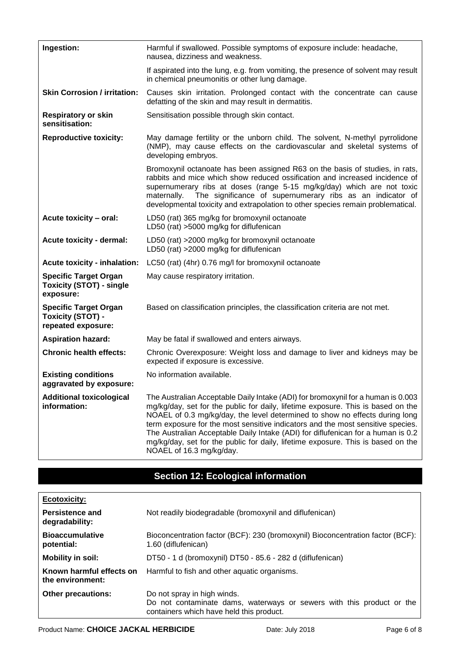| Ingestion:                                                                     | Harmful if swallowed. Possible symptoms of exposure include: headache,<br>nausea, dizziness and weakness.                                                                                                                                                                                                                                                                                                                                                                                                                                  |  |
|--------------------------------------------------------------------------------|--------------------------------------------------------------------------------------------------------------------------------------------------------------------------------------------------------------------------------------------------------------------------------------------------------------------------------------------------------------------------------------------------------------------------------------------------------------------------------------------------------------------------------------------|--|
|                                                                                | If aspirated into the lung, e.g. from vomiting, the presence of solvent may result<br>in chemical pneumonitis or other lung damage.                                                                                                                                                                                                                                                                                                                                                                                                        |  |
| <b>Skin Corrosion / irritation:</b>                                            | Causes skin irritation. Prolonged contact with the concentrate can cause<br>defatting of the skin and may result in dermatitis.                                                                                                                                                                                                                                                                                                                                                                                                            |  |
| <b>Respiratory or skin</b><br>sensitisation:                                   | Sensitisation possible through skin contact.                                                                                                                                                                                                                                                                                                                                                                                                                                                                                               |  |
| <b>Reproductive toxicity:</b>                                                  | May damage fertility or the unborn child. The solvent, N-methyl pyrrolidone<br>(NMP), may cause effects on the cardiovascular and skeletal systems of<br>developing embryos.                                                                                                                                                                                                                                                                                                                                                               |  |
|                                                                                | Bromoxynil octanoate has been assigned R63 on the basis of studies, in rats,<br>rabbits and mice which show reduced ossification and increased incidence of<br>supernumerary ribs at doses (range 5-15 mg/kg/day) which are not toxic<br>The significance of supernumerary ribs as an indicator of<br>maternally.<br>developmental toxicity and extrapolation to other species remain problematical.                                                                                                                                       |  |
| Acute toxicity - oral:                                                         | LD50 (rat) 365 mg/kg for bromoxynil octanoate<br>LD50 (rat) >5000 mg/kg for diflufenican                                                                                                                                                                                                                                                                                                                                                                                                                                                   |  |
| <b>Acute toxicity - dermal:</b>                                                | LD50 (rat) >2000 mg/kg for bromoxynil octanoate<br>LD50 (rat) >2000 mg/kg for diflufenican                                                                                                                                                                                                                                                                                                                                                                                                                                                 |  |
| <b>Acute toxicity - inhalation:</b>                                            | LC50 (rat) (4hr) 0.76 mg/l for bromoxynil octanoate                                                                                                                                                                                                                                                                                                                                                                                                                                                                                        |  |
| <b>Specific Target Organ</b><br><b>Toxicity (STOT) - single</b><br>exposure:   | May cause respiratory irritation.                                                                                                                                                                                                                                                                                                                                                                                                                                                                                                          |  |
| <b>Specific Target Organ</b><br><b>Toxicity (STOT) -</b><br>repeated exposure: | Based on classification principles, the classification criteria are not met.                                                                                                                                                                                                                                                                                                                                                                                                                                                               |  |
| <b>Aspiration hazard:</b>                                                      | May be fatal if swallowed and enters airways.                                                                                                                                                                                                                                                                                                                                                                                                                                                                                              |  |
| <b>Chronic health effects:</b>                                                 | Chronic Overexposure: Weight loss and damage to liver and kidneys may be<br>expected if exposure is excessive.                                                                                                                                                                                                                                                                                                                                                                                                                             |  |
| <b>Existing conditions</b><br>aggravated by exposure:                          | No information available.                                                                                                                                                                                                                                                                                                                                                                                                                                                                                                                  |  |
| <b>Additional toxicological</b><br>information:                                | The Australian Acceptable Daily Intake (ADI) for bromoxynil for a human is 0.003<br>mg/kg/day, set for the public for daily, lifetime exposure. This is based on the<br>NOAEL of 0.3 mg/kg/day, the level determined to show no effects during long<br>term exposure for the most sensitive indicators and the most sensitive species.<br>The Australian Acceptable Daily Intake (ADI) for diflufenican for a human is 0.2<br>mg/kg/day, set for the public for daily, lifetime exposure. This is based on the<br>NOAEL of 16.3 mg/kg/day. |  |

# **Section 12: Ecological information**

| <b>Ecotoxicity:</b>                          |                                                                                                                                                  |  |
|----------------------------------------------|--------------------------------------------------------------------------------------------------------------------------------------------------|--|
| <b>Persistence and</b><br>degradability:     | Not readily biodegradable (bromoxynil and diflufenican)                                                                                          |  |
| <b>Bioaccumulative</b><br>potential:         | Bioconcentration factor (BCF): 230 (bromoxynil) Bioconcentration factor (BCF):<br>1.60 (diflufenican)                                            |  |
| Mobility in soil:                            | DT50 - 1 d (bromoxynil) DT50 - 85.6 - 282 d (diflufenican)                                                                                       |  |
| Known harmful effects on<br>the environment: | Harmful to fish and other aquatic organisms.                                                                                                     |  |
| <b>Other precautions:</b>                    | Do not spray in high winds.<br>Do not contaminate dams, waterways or sewers with this product or the<br>containers which have held this product. |  |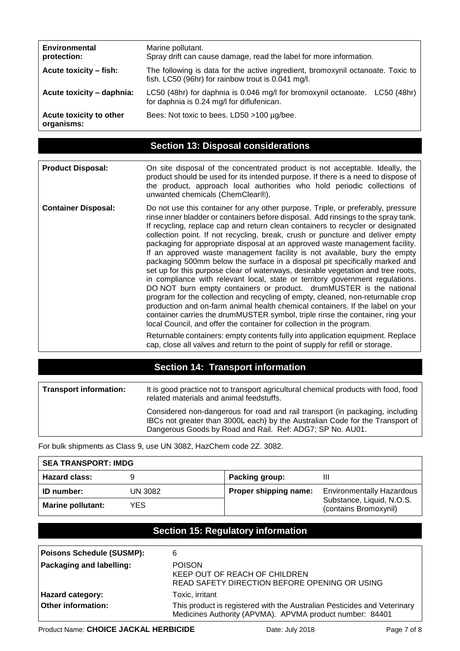| <b>Environmental</b><br>protection:   | Marine pollutant.<br>Spray drift can cause damage, read the label for more information.                                               |  |
|---------------------------------------|---------------------------------------------------------------------------------------------------------------------------------------|--|
| Acute toxicity - fish:                | The following is data for the active ingredient, bromoxynil octanoate. Toxic to<br>fish. LC50 (96hr) for rainbow trout is 0.041 mg/l. |  |
| Acute toxicity - daphnia:             | LC50 (48hr) for daphnia is 0.046 mg/l for bromoxynil octanoate. LC50 (48hr)<br>for daphnia is 0.24 mg/l for diflufenican.             |  |
| Acute toxicity to other<br>organisms: | Bees: Not toxic to bees. LD50 >100 µg/bee.                                                                                            |  |

### **Section 13: Disposal considerations**

| <b>Product Disposal:</b>   | On site disposal of the concentrated product is not acceptable. Ideally, the<br>product should be used for its intended purpose. If there is a need to dispose of<br>the product, approach local authorities who hold periodic collections of<br>unwanted chemicals (ChemClear®).                                                                                                                                                                                                                                                                                                                                                                                                                                                                                                                                                                                                                                                                                                                                                                                                                                                                                                                                                                                                                                                        |
|----------------------------|------------------------------------------------------------------------------------------------------------------------------------------------------------------------------------------------------------------------------------------------------------------------------------------------------------------------------------------------------------------------------------------------------------------------------------------------------------------------------------------------------------------------------------------------------------------------------------------------------------------------------------------------------------------------------------------------------------------------------------------------------------------------------------------------------------------------------------------------------------------------------------------------------------------------------------------------------------------------------------------------------------------------------------------------------------------------------------------------------------------------------------------------------------------------------------------------------------------------------------------------------------------------------------------------------------------------------------------|
| <b>Container Disposal:</b> | Do not use this container for any other purpose. Triple, or preferably, pressure<br>rinse inner bladder or containers before disposal. Add rinsings to the spray tank.<br>If recycling, replace cap and return clean containers to recycler or designated<br>collection point. If not recycling, break, crush or puncture and deliver empty<br>packaging for appropriate disposal at an approved waste management facility.<br>If an approved waste management facility is not available, bury the empty<br>packaging 500mm below the surface in a disposal pit specifically marked and<br>set up for this purpose clear of waterways, desirable vegetation and tree roots,<br>in compliance with relevant local, state or territory government regulations.<br>DO NOT burn empty containers or product. drumMUSTER is the national<br>program for the collection and recycling of empty, cleaned, non-returnable crop<br>production and on-farm animal health chemical containers. If the label on your<br>container carries the drumMUSTER symbol, triple rinse the container, ring your<br>local Council, and offer the container for collection in the program.<br>Returnable containers: empty contents fully into application equipment. Replace<br>cap, close all valves and return to the point of supply for refill or storage. |

### **Section 14: Transport information**

| <b>Transport information:</b> | It is good practice not to transport agricultural chemical products with food, food<br>related materials and animal feedstuffs.                                                                                             |
|-------------------------------|-----------------------------------------------------------------------------------------------------------------------------------------------------------------------------------------------------------------------------|
|                               | Considered non-dangerous for road and rail transport (in packaging, including<br>IBCs not greater than 3000L each) by the Australian Code for the Transport of<br>Dangerous Goods by Road and Rail. Ref: ADG7; SP No. AU01. |

For bulk shipments as Class 9, use UN 3082, HazChem code 2Z. 3082.

| <b>SEA TRANSPORT: IMDG</b> |         |                       |                                                    |
|----------------------------|---------|-----------------------|----------------------------------------------------|
| <b>Hazard class:</b>       |         | Packing group:        | Ш                                                  |
| <b>ID</b> number:          | UN 3082 | Proper shipping name: | <b>Environmentally Hazardous</b>                   |
| <b>Marine pollutant:</b>   | YES.    |                       | Substance, Liquid, N.O.S.<br>(contains Bromoxynil) |

# **Section 15: Regulatory information**

| <b>Poisons Schedule (SUSMP):</b> | 6                                                                                                                                    |
|----------------------------------|--------------------------------------------------------------------------------------------------------------------------------------|
| Packaging and labelling:         | <b>POISON</b><br>KEEP OUT OF REACH OF CHILDREN<br>READ SAFETY DIRECTION BEFORE OPENING OR USING                                      |
| <b>Hazard category:</b>          | Toxic, irritant                                                                                                                      |
| Other information:               | This product is registered with the Australian Pesticides and Veterinary<br>Medicines Authority (APVMA). APVMA product number: 84401 |

 $\mathsf{r}$